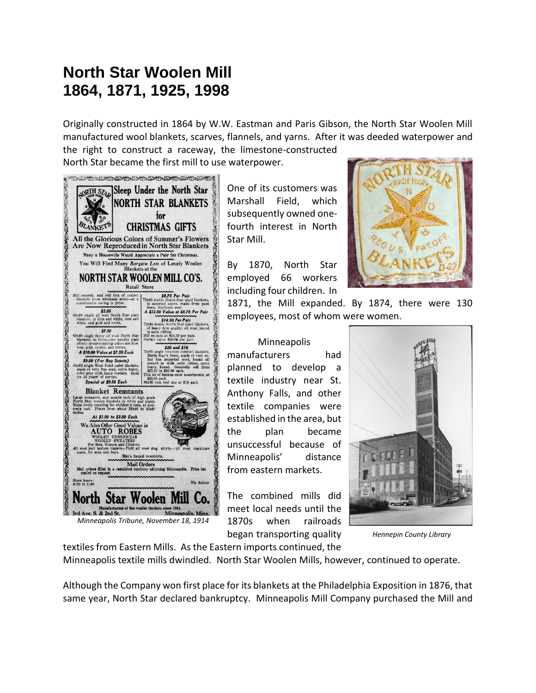## **North Star Woolen Mill 1864, 1871, 1925, 1998**

Originally constructed in 1864 by W.W. Eastman and Paris Gibson, the North Star Woolen Mill manufactured wool blankets, scarves, flannels, and yarns. After it was deeded waterpower and

the right to construct a raceway, the limestone-constructed



One of its customers was Marshall Field, which subsequently owned onefourth interest in North Star Mill.

By 1870, North Star employed 66 workers including four children. In



1871, the Mill expanded. By 1874, there were 130 employees, most of whom were women.

## Minneapolis manufacturers had planned to develop a textile industry near St. Anthony Falls, and other textile companies were established in the area, but the plan became unsuccessful because of Minneapolis' distance from eastern markets.

The combined mills did meet local needs until the 1870s when railroads began transporting quality



 *Hennepin County Library*

textiles from Eastern Mills. As the Eastern imports continued, the Minneapolis textile mills dwindled. North Star Woolen Mills, however, continued to operate.

Although the Company won first place for its blankets at the Philadelphia Exposition in 1876, that same year, North Star declared bankruptcy. Minneapolis Mill Company purchased the Mill and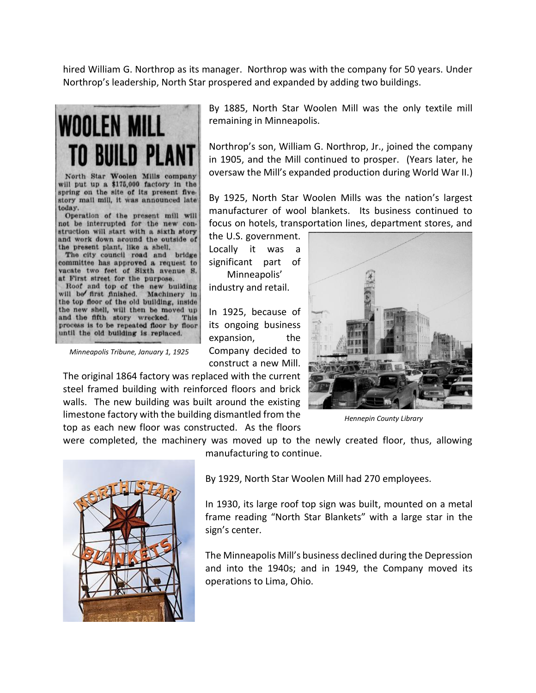hired William G. Northrop as its manager. Northrop was with the company for 50 years. Under Northrop's leadership, North Star prospered and expanded by adding two buildings.



North Star Woolen Mills company will put up a \$175,000 factory in the spring on the site of its present fivestory mail mill, it was announced late today.

Operation of the present mill will not be interrupted for the new construction will start with a sixth story and work down around the outside of the present plant, like a shell.

The city council road and bridge committee has approved a request to vacate two feet of Sixth avenue S. at First street for the purpose.

Roof and top of the new building<br>will be first finished. Machinery in the top floor of the old building, inside the new shell, will then be moved up and the fifth story wrecked. This process is to be repeated floor by floor until the old building is replaced.

 *Minneapolis Tribune, January 1, 1925*

The original 1864 factory was replaced with the current steel framed building with reinforced floors and brick walls. The new building was built around the existing limestone factory with the building dismantled from the top as each new floor was constructed. As the floors

were completed, the machinery was moved up to the newly created floor, thus, allowing manufacturing to continue.



By 1885, North Star Woolen Mill was the only textile mill remaining in Minneapolis.

Northrop's son, William G. Northrop, Jr., joined the company in 1905, and the Mill continued to prosper. (Years later, he oversaw the Mill's expanded production during World War II.)

By 1925, North Star Woolen Mills was the nation's largest manufacturer of wool blankets. Its business continued to focus on hotels, transportation lines, department stores, and

the U.S. government. Locally it was a significant part of Minneapolis' industry and retail.

In 1925, because of its ongoing business expansion, the Company decided to construct a new Mill.



 *Hennepin County Library*

By 1929, North Star Woolen Mill had 270 employees.

In 1930, its large roof top sign was built, mounted on a metal frame reading "North Star Blankets" with a large star in the sign's center.

The Minneapolis Mill's business declined during the Depression and into the 1940s; and in 1949, the Company moved its operations to Lima, Ohio.